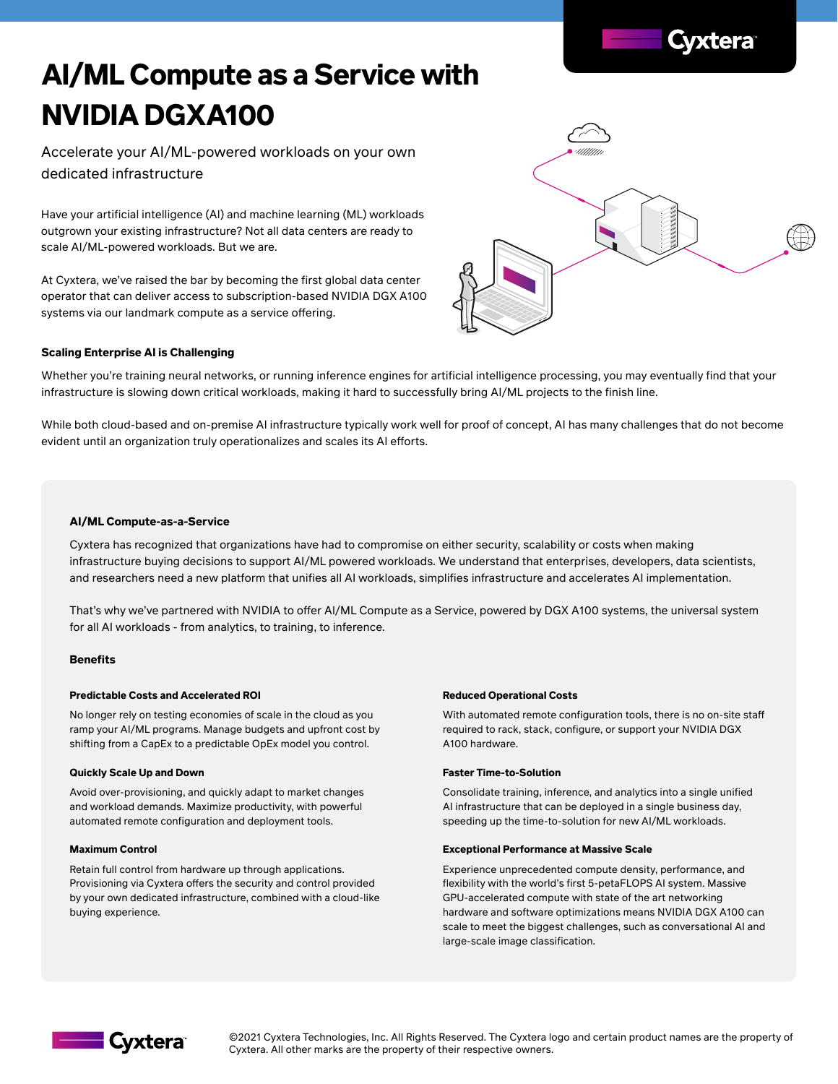# **AI/ML Compute as a Service with NVIDIA DGXA100**

Accelerate your AI/ML-powered workloads on your own dedicated infrastructure

Have your artificial intelligence (AI) and machine learning (ML) workloads outgrown your existing infrastructure? Not all data centers are ready to scale AI/ML-powered workloads. But we are.

At Cyxtera, we've raised the bar by becoming the first global data center operator that can deliver access to subscription-based NVIDIA DGX A100 systems via our landmark compute as a service offering.



### **Scaling Enterprise AI is Challenging**

Whether you're training neural networks, or running inference engines for artificial intelligence processing, you may eventually find that your infrastructure is slowing down critical workloads, making it hard to successfully bring AI/ML projects to the finish line.

While both cloud-based and on-premise AI infrastructure typically work well for proof of concept, AI has many challenges that do not become evident until an organization truly operationalizes and scales its AI efforts.

#### **AI/ML Compute-as-a-Service**

Cyxtera has recognized that organizations have had to compromise on either security, scalability or costs when making infrastructure buying decisions to support AI/ML powered workloads. We understand that enterprises, developers, data scientists, and researchers need a new platform that unifies all AI workloads, simplifies infrastructure and accelerates AI implementation.

That's why we've partnered with NVIDIA to offer Al/ML Compute as a Service, powered by DGX A100 systems, the universal system for all AI workloads - from analytics, to training, to inference.

#### **Benefits**

#### **Predictable Costs and Accelerated ROI**

No longer rely on testing economies of scale in the cloud as you ramp your AI/ML programs. Manage budgets and upfront cost by shifting from a CapEx to a predictable OpEx model you control.

#### **Quickly Scale Up and Down**

Avoid over-provisioning, and quickly adapt to market changes and workload demands. Maximize productivity, with powerful automated remote configuration and deployment tools.

#### **Maximum Control**

Retain full control from hardware up through applications. Provisioning via Cyxtera offers the security and control provided by your own dedicated infrastructure, combined with a cloud-like buying experience.

#### **Reduced Operational Costs**

With automated remote configuration tools, there is no on-site staff required to rack, stack, configure, or support your NVIDIA DGX A100 hardware.

#### **Faster Time-to-Solution**

Consolidate training, inference, and analytics into a single unified AI infrastructure that can be deployed in a single business day, speeding up the time-to-solution for new AI/ML workloads.

#### **Exceptional Performance at Massive Scale**

Experience unprecedented compute density, performance, and flexibility with the world's first 5-petaFLOPS AI system. Massive GPU-accelerated compute with state of the art networking hardware and software optimizations means NVIDIA DGX A100 can scale to meet the biggest challenges, such as conversational AI and large-scale image classification.